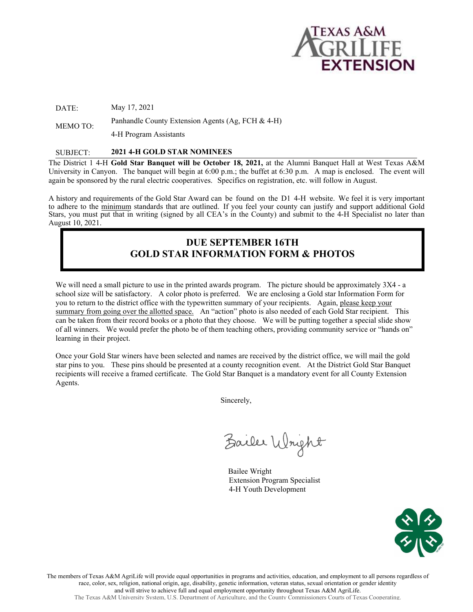

DATE: May 17, 2021

MEMO TO: Panhandle County Extension Agents (Ag, FCH & 4-H)

4-H Program Assistants

## SUBJECT: 202**1** 4-H GOLD STAR NOMINEES

The District 1 4-H **Gold Star Banquet will be October 18, 2021,** at the Alumni Banquet Hall at West Texas A&M University in Canyon. The banquet will begin at 6:00 p.m.; the buffet at 6:30 p.m. A map is enclosed. The event will again be sponsored by the rural electric cooperatives. Specifics on registration, etc. will follow in August.

A history and requirements of the Gold Star Award can be found on the D1 4-H website. We feel it is very important to adhere to the minimum standards that are outlined. If you feel your county can justify and support additional Gold Stars, you must put that in writing (signed by all CEA's in the County) and submit to the 4-H Specialist no later than August 10, 2021.

## DUE SEPTEMBER 1**6**TH GOLD STAR INFORMATION FORM & PHOTOS

We will need a small picture to use in the printed awards program. The picture should be approximately  $3X4 - a$ school size will be satisfactory. A color photo is preferred. We are enclosing a Gold star Information Form for you to return to the district office with the typewritten summary of your recipients. Again, please keep your summary from going over the allotted space. An "action" photo is also needed of each Gold Star recipient. This can be taken from their record books or a photo that they choose. We will be putting together a special slide show of all winners. We would prefer the photo be of them teaching others, providing community service or "hands on" learning in their project.

Once your Gold Star winers have been selected and names are received by the district office, we will mail the gold star pins to you. These pins should be presented at a county recognition event. At the District Gold Star Banquet recipients will receive a framed certificate. The Gold Star Banquet is a mandatory event for all County Extension Agents.

Sincerely,

Bailer Wright

Bailee Wright Extension Program Specialist 4-H Youth Development



The members of Texas A&M AgriLife will provide equal opportunities in programs and activities, education, and employment to all persons regardless of race, color, sex, religion, national origin, age, disability, genetic information, veteran status, sexual orientation or gender identity and will strive to achieve full and equal employment opportunity throughout Texas A&M AgriLife. The Texas A&M University System, U.S. Department of Agriculture, and the County Commissioners Courts of Texas Cooperating.